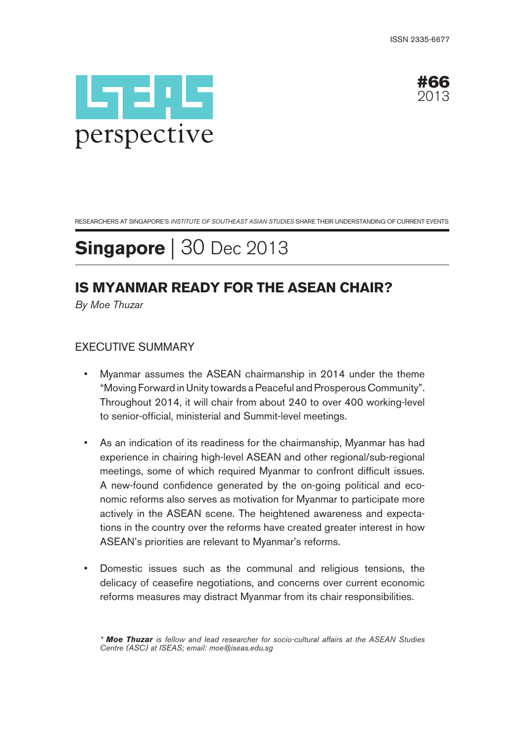



RESEARCHERS AT SINGAPORE'S INSTITUTE OF SOUTHEAST ASIAN STUDIES SHARE THEIR UNDERSTANDING OF CURRENT EVENTS

# **Singapore** | 30 Dec 2013

## **IS MYANMAR READY FOR THE ASEAN CHAIR?**

By Moe Thuzar

### EXECUTIVE SUMMARY

- Myanmar assumes the ASEAN chairmanship in 2014 under the theme "Moving Forward in Unity towards a Peaceful and Prosperous Community". Throughout 2014, it will chair from about 240 to over 400 working-level to senior-official, ministerial and Summit-level meetings.
- As an indication of its readiness for the chairmanship, Myanmar has had experience in chairing high-level ASEAN and other regional/sub-regional meetings, some of which required Myanmar to confront difficult issues. A new-found confidence generated by the on-going political and economic reforms also serves as motivation for Myanmar to participate more actively in the ASEAN scene. The heightened awareness and expectations in the country over the reforms have created greater interest in how ASEAN's priorities are relevant to Myanmar's reforms.
- Domestic issues such as the communal and religious tensions, the delicacy of ceasefire negotiations, and concerns over current economic reforms measures may distract Myanmar from its chair responsibilities.

<sup>\*</sup> **Moe Thuzar** is fellow and lead researcher for socio-cultural affairs at the ASEAN Studies Centre (ASC) at ISEAS; email: moe@iseas.edu.sg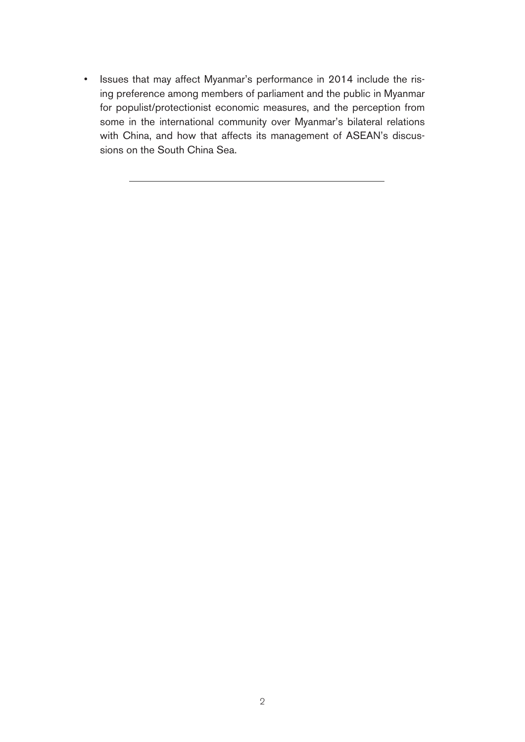• Issues that may affect Myanmar's performance in 2014 include the rising preference among members of parliament and the public in Myanmar for populist/protectionist economic measures, and the perception from some in the international community over Myanmar's bilateral relations with China, and how that affects its management of ASEAN's discussions on the South China Sea.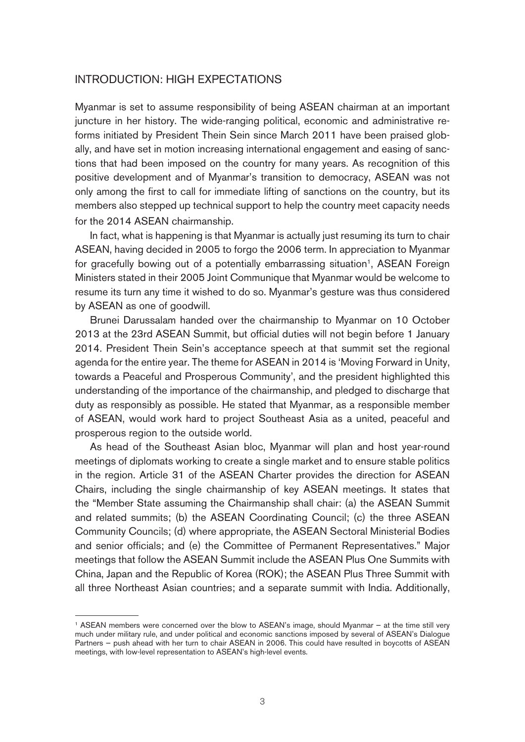#### INTRODUCTION: HIGH EXPECTATIONS

Myanmar is set to assume responsibility of being ASEAN chairman at an important juncture in her history. The wide-ranging political, economic and administrative reforms initiated by President Thein Sein since March 2011 have been praised globally, and have set in motion increasing international engagement and easing of sanctions that had been imposed on the country for many years. As recognition of this positive development and of Myanmar's transition to democracy, ASEAN was not only among the first to call for immediate lifting of sanctions on the country, but its members also stepped up technical support to help the country meet capacity needs for the 2014 ASEAN chairmanship.

In fact, what is happening is that Myanmar is actually just resuming its turn to chair ASEAN, having decided in 2005 to forgo the 2006 term. In appreciation to Myanmar for gracefully bowing out of a potentially embarrassing situation<sup>1</sup>, ASEAN Foreign Ministers stated in their 2005 Joint Communique that Myanmar would be welcome to resume its turn any time it wished to do so. Myanmar's gesture was thus considered by ASEAN as one of goodwill.

Brunei Darussalam handed over the chairmanship to Myanmar on 10 October 2013 at the 23rd ASEAN Summit, but official duties will not begin before 1 January 2014. President Thein Sein's acceptance speech at that summit set the regional agenda for the entire year. The theme for ASEAN in 2014 is 'Moving Forward in Unity, towards a Peaceful and Prosperous Community', and the president highlighted this understanding of the importance of the chairmanship, and pledged to discharge that duty as responsibly as possible. He stated that Myanmar, as a responsible member of ASEAN, would work hard to project Southeast Asia as a united, peaceful and prosperous region to the outside world.

As head of the Southeast Asian bloc, Myanmar will plan and host year-round meetings of diplomats working to create a single market and to ensure stable politics in the region. Article 31 of the ASEAN Charter provides the direction for ASEAN Chairs, including the single chairmanship of key ASEAN meetings. It states that the "Member State assuming the Chairmanship shall chair: (a) the ASEAN Summit and related summits; (b) the ASEAN Coordinating Council; (c) the three ASEAN Community Councils; (d) where appropriate, the ASEAN Sectoral Ministerial Bodies and senior officials; and (e) the Committee of Permanent Representatives." Major meetings that follow the ASEAN Summit include the ASEAN Plus One Summits with China, Japan and the Republic of Korea (ROK); the ASEAN Plus Three Summit with all three Northeast Asian countries; and a separate summit with India. Additionally,

<sup>1</sup> ASEAN members were concerned over the blow to ASEAN's image, should Myanmar — at the time still very much under military rule, and under political and economic sanctions imposed by several of ASEAN's Dialogue Partners — push ahead with her turn to chair ASEAN in 2006. This could have resulted in boycotts of ASEAN meetings, with low-level representation to ASEAN's high-level events.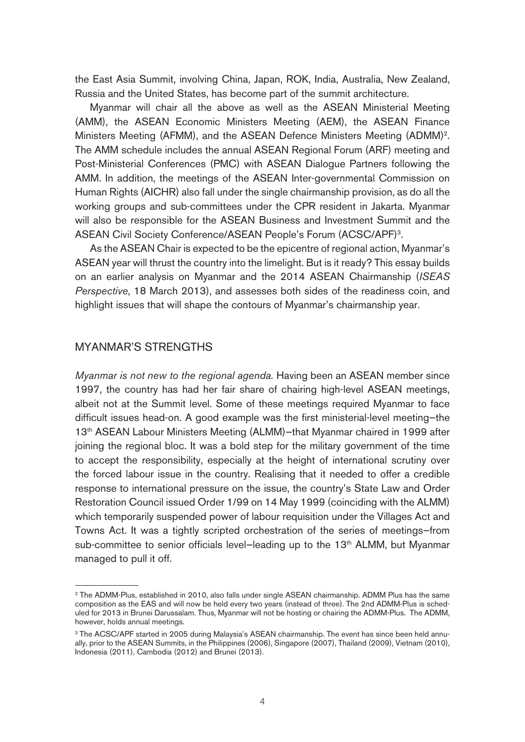the East Asia Summit, involving China, Japan, ROK, India, Australia, New Zealand, Russia and the United States, has become part of the summit architecture.

Myanmar will chair all the above as well as the ASEAN Ministerial Meeting (AMM), the ASEAN Economic Ministers Meeting (AEM), the ASEAN Finance Ministers Meeting (AFMM), and the ASEAN Defence Ministers Meeting (ADMM)2. The AMM schedule includes the annual ASEAN Regional Forum (ARF) meeting and Post-Ministerial Conferences (PMC) with ASEAN Dialogue Partners following the AMM. In addition, the meetings of the ASEAN Inter-governmental Commission on Human Rights (AICHR) also fall under the single chairmanship provision, as do all the working groups and sub-committees under the CPR resident in Jakarta. Myanmar will also be responsible for the ASEAN Business and Investment Summit and the ASEAN Civil Society Conference/ASEAN People's Forum (ACSC/APF)3.

As the ASEAN Chair is expected to be the epicentre of regional action, Myanmar's ASEAN year will thrust the country into the limelight. But is it ready? This essay builds on an earlier analysis on Myanmar and the 2014 ASEAN Chairmanship (ISEAS Perspective, 18 March 2013), and assesses both sides of the readiness coin, and highlight issues that will shape the contours of Myanmar's chairmanship year.

#### MYANMAR'S STRENGTHS

Myanmar is not new to the regional agenda. Having been an ASEAN member since 1997, the country has had her fair share of chairing high-level ASEAN meetings, albeit not at the Summit level. Some of these meetings required Myanmar to face difficult issues head-on. A good example was the first ministerial-level meeting—the 13th ASEAN Labour Ministers Meeting (ALMM)—that Myanmar chaired in 1999 after joining the regional bloc. It was a bold step for the military government of the time to accept the responsibility, especially at the height of international scrutiny over the forced labour issue in the country. Realising that it needed to offer a credible response to international pressure on the issue, the country's State Law and Order Restoration Council issued Order 1/99 on 14 May 1999 (coinciding with the ALMM) which temporarily suspended power of labour requisition under the Villages Act and Towns Act. It was a tightly scripted orchestration of the series of meetings—from sub-committee to senior officials level-leading up to the 13<sup>th</sup> ALMM, but Myanmar managed to pull it off.

<sup>2</sup> The ADMM-Plus, established in 2010, also falls under single ASEAN chairmanship. ADMM Plus has the same composition as the EAS and will now be held every two years (instead of three). The 2nd ADMM-Plus is scheduled for 2013 in Brunei Darussalam. Thus, Myanmar will not be hosting or chairing the ADMM-Plus. The ADMM, however, holds annual meetings.

<sup>&</sup>lt;sup>3</sup> The ACSC/APF started in 2005 during Malaysia's ASEAN chairmanship. The event has since been held annually, prior to the ASEAN Summits, in the Philippines (2006), Singapore (2007), Thailand (2009), Vietnam (2010), Indonesia (2011), Cambodia (2012) and Brunei (2013).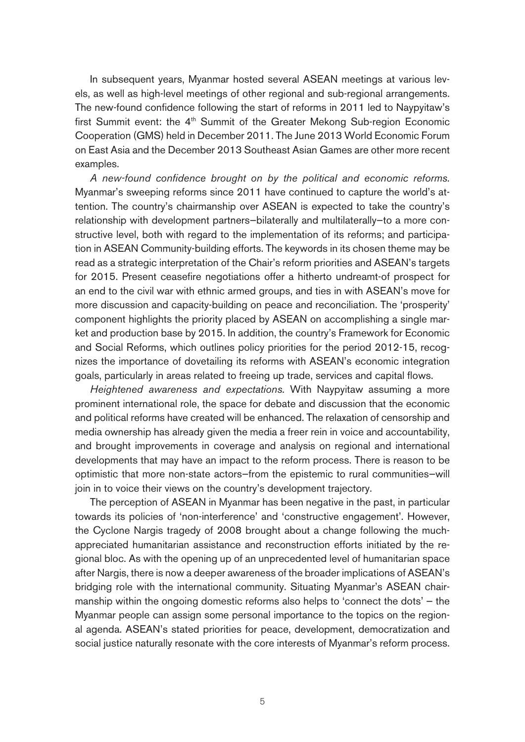In subsequent years, Myanmar hosted several ASEAN meetings at various levels, as well as high-level meetings of other regional and sub-regional arrangements. The new-found confidence following the start of reforms in 2011 led to Naypyitaw's first Summit event: the 4<sup>th</sup> Summit of the Greater Mekong Sub-region Economic Cooperation (GMS) held in December 2011. The June 2013 World Economic Forum on East Asia and the December 2013 Southeast Asian Games are other more recent examples.

A new-found confidence brought on by the political and economic reforms. Myanmar's sweeping reforms since 2011 have continued to capture the world's attention. The country's chairmanship over ASEAN is expected to take the country's relationship with development partners—bilaterally and multilaterally—to a more constructive level, both with regard to the implementation of its reforms; and participation in ASEAN Community-building efforts. The keywords in its chosen theme may be read as a strategic interpretation of the Chair's reform priorities and ASEAN's targets for 2015. Present ceasefire negotiations offer a hitherto undreamt-of prospect for an end to the civil war with ethnic armed groups, and ties in with ASEAN's move for more discussion and capacity-building on peace and reconciliation. The 'prosperity' component highlights the priority placed by ASEAN on accomplishing a single market and production base by 2015. In addition, the country's Framework for Economic and Social Reforms, which outlines policy priorities for the period 2012-15, recognizes the importance of dovetailing its reforms with ASEAN's economic integration goals, particularly in areas related to freeing up trade, services and capital flows.

Heightened awareness and expectations. With Naypyitaw assuming a more prominent international role, the space for debate and discussion that the economic and political reforms have created will be enhanced. The relaxation of censorship and media ownership has already given the media a freer rein in voice and accountability, and brought improvements in coverage and analysis on regional and international developments that may have an impact to the reform process. There is reason to be optimistic that more non-state actors—from the epistemic to rural communities—will join in to voice their views on the country's development trajectory.

The perception of ASEAN in Myanmar has been negative in the past, in particular towards its policies of 'non-interference' and 'constructive engagement'. However, the Cyclone Nargis tragedy of 2008 brought about a change following the muchappreciated humanitarian assistance and reconstruction efforts initiated by the regional bloc. As with the opening up of an unprecedented level of humanitarian space after Nargis, there is now a deeper awareness of the broader implications of ASEAN's bridging role with the international community. Situating Myanmar's ASEAN chairmanship within the ongoing domestic reforms also helps to 'connect the dots' — the Myanmar people can assign some personal importance to the topics on the regional agenda. ASEAN's stated priorities for peace, development, democratization and social justice naturally resonate with the core interests of Myanmar's reform process.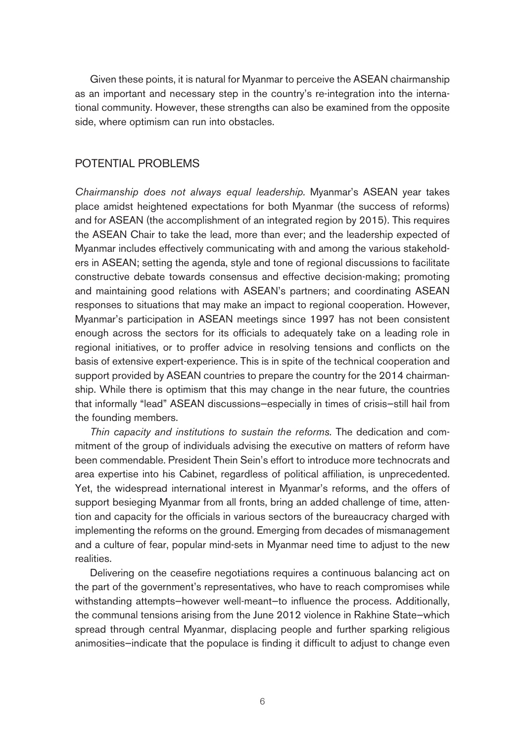Given these points, it is natural for Myanmar to perceive the ASEAN chairmanship as an important and necessary step in the country's re-integration into the international community. However, these strengths can also be examined from the opposite side, where optimism can run into obstacles.

### POTENTIAL PROBLEMS

Chairmanship does not always equal leadership. Myanmar's ASEAN year takes place amidst heightened expectations for both Myanmar (the success of reforms) and for ASEAN (the accomplishment of an integrated region by 2015). This requires the ASEAN Chair to take the lead, more than ever; and the leadership expected of Myanmar includes effectively communicating with and among the various stakeholders in ASEAN; setting the agenda, style and tone of regional discussions to facilitate constructive debate towards consensus and effective decision-making; promoting and maintaining good relations with ASEAN's partners; and coordinating ASEAN responses to situations that may make an impact to regional cooperation. However, Myanmar's participation in ASEAN meetings since 1997 has not been consistent enough across the sectors for its officials to adequately take on a leading role in regional initiatives, or to proffer advice in resolving tensions and conflicts on the basis of extensive expert-experience. This is in spite of the technical cooperation and support provided by ASEAN countries to prepare the country for the 2014 chairmanship. While there is optimism that this may change in the near future, the countries that informally "lead" ASEAN discussions—especially in times of crisis—still hail from the founding members.

Thin capacity and institutions to sustain the reforms. The dedication and commitment of the group of individuals advising the executive on matters of reform have been commendable. President Thein Sein's effort to introduce more technocrats and area expertise into his Cabinet, regardless of political affiliation, is unprecedented. Yet, the widespread international interest in Myanmar's reforms, and the offers of support besieging Myanmar from all fronts, bring an added challenge of time, attention and capacity for the officials in various sectors of the bureaucracy charged with implementing the reforms on the ground. Emerging from decades of mismanagement and a culture of fear, popular mind-sets in Myanmar need time to adjust to the new realities.

Delivering on the ceasefire negotiations requires a continuous balancing act on the part of the government's representatives, who have to reach compromises while withstanding attempts—however well-meant—to influence the process. Additionally, the communal tensions arising from the June 2012 violence in Rakhine State—which spread through central Myanmar, displacing people and further sparking religious animosities—indicate that the populace is finding it difficult to adjust to change even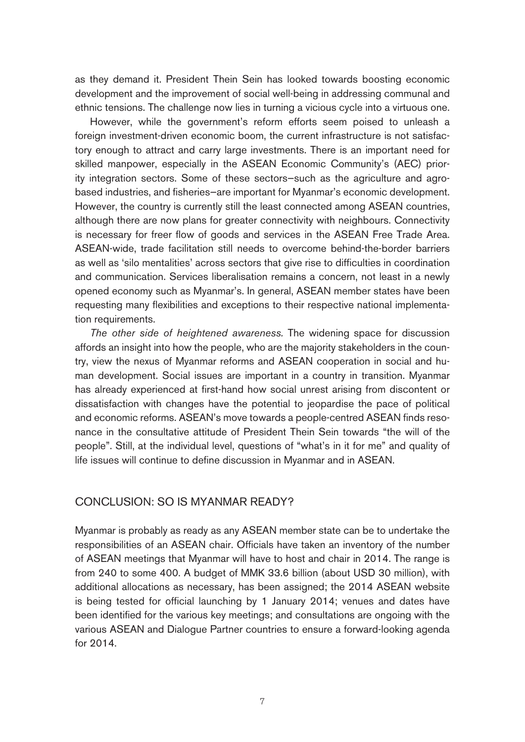as they demand it. President Thein Sein has looked towards boosting economic development and the improvement of social well-being in addressing communal and ethnic tensions. The challenge now lies in turning a vicious cycle into a virtuous one.

However, while the government's reform efforts seem poised to unleash a foreign investment-driven economic boom, the current infrastructure is not satisfactory enough to attract and carry large investments. There is an important need for skilled manpower, especially in the ASEAN Economic Community's (AEC) priority integration sectors. Some of these sectors—such as the agriculture and agrobased industries, and fisheries—are important for Myanmar's economic development. However, the country is currently still the least connected among ASEAN countries, although there are now plans for greater connectivity with neighbours. Connectivity is necessary for freer flow of goods and services in the ASEAN Free Trade Area. ASEAN-wide, trade facilitation still needs to overcome behind-the-border barriers as well as 'silo mentalities' across sectors that give rise to difficulties in coordination and communication. Services liberalisation remains a concern, not least in a newly opened economy such as Myanmar's. In general, ASEAN member states have been requesting many flexibilities and exceptions to their respective national implementation requirements.

The other side of heightened awareness. The widening space for discussion affords an insight into how the people, who are the majority stakeholders in the country, view the nexus of Myanmar reforms and ASEAN cooperation in social and human development. Social issues are important in a country in transition. Myanmar has already experienced at first-hand how social unrest arising from discontent or dissatisfaction with changes have the potential to jeopardise the pace of political and economic reforms. ASEAN's move towards a people-centred ASEAN finds resonance in the consultative attitude of President Thein Sein towards "the will of the people". Still, at the individual level, questions of "what's in it for me" and quality of life issues will continue to define discussion in Myanmar and in ASEAN.

#### CONCLUSION: SO IS MYANMAR READY?

Myanmar is probably as ready as any ASEAN member state can be to undertake the responsibilities of an ASEAN chair. Officials have taken an inventory of the number of ASEAN meetings that Myanmar will have to host and chair in 2014. The range is from 240 to some 400. A budget of MMK 33.6 billion (about USD 30 million), with additional allocations as necessary, has been assigned; the 2014 ASEAN website is being tested for official launching by 1 January 2014; venues and dates have been identified for the various key meetings; and consultations are ongoing with the various ASEAN and Dialogue Partner countries to ensure a forward-looking agenda for 2014.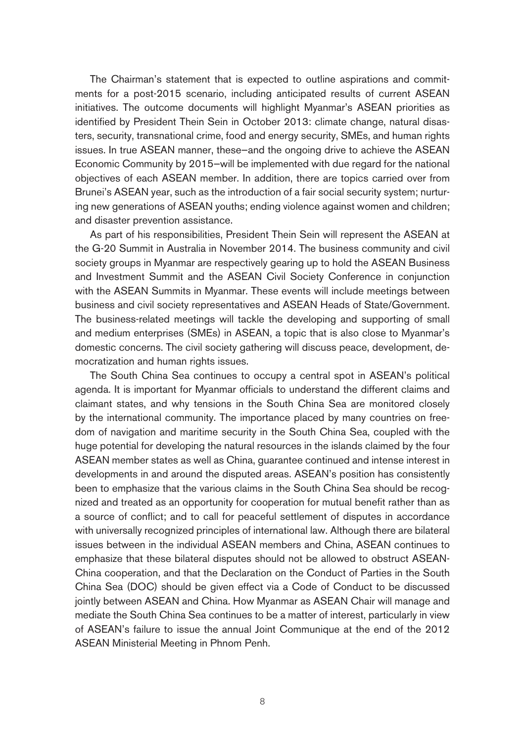The Chairman's statement that is expected to outline aspirations and commitments for a post-2015 scenario, including anticipated results of current ASEAN initiatives. The outcome documents will highlight Myanmar's ASEAN priorities as identified by President Thein Sein in October 2013: climate change, natural disasters, security, transnational crime, food and energy security, SMEs, and human rights issues. In true ASEAN manner, these—and the ongoing drive to achieve the ASEAN Economic Community by 2015—will be implemented with due regard for the national objectives of each ASEAN member. In addition, there are topics carried over from Brunei's ASEAN year, such as the introduction of a fair social security system; nurturing new generations of ASEAN youths; ending violence against women and children; and disaster prevention assistance.

As part of his responsibilities, President Thein Sein will represent the ASEAN at the G-20 Summit in Australia in November 2014. The business community and civil society groups in Myanmar are respectively gearing up to hold the ASEAN Business and Investment Summit and the ASEAN Civil Society Conference in conjunction with the ASEAN Summits in Myanmar. These events will include meetings between business and civil society representatives and ASEAN Heads of State/Government. The business-related meetings will tackle the developing and supporting of small and medium enterprises (SMEs) in ASEAN, a topic that is also close to Myanmar's domestic concerns. The civil society gathering will discuss peace, development, democratization and human rights issues.

The South China Sea continues to occupy a central spot in ASEAN's political agenda. It is important for Myanmar officials to understand the different claims and claimant states, and why tensions in the South China Sea are monitored closely by the international community. The importance placed by many countries on freedom of navigation and maritime security in the South China Sea, coupled with the huge potential for developing the natural resources in the islands claimed by the four ASEAN member states as well as China, guarantee continued and intense interest in developments in and around the disputed areas. ASEAN's position has consistently been to emphasize that the various claims in the South China Sea should be recognized and treated as an opportunity for cooperation for mutual benefit rather than as a source of conflict; and to call for peaceful settlement of disputes in accordance with universally recognized principles of international law. Although there are bilateral issues between in the individual ASEAN members and China, ASEAN continues to emphasize that these bilateral disputes should not be allowed to obstruct ASEAN-China cooperation, and that the Declaration on the Conduct of Parties in the South China Sea (DOC) should be given effect via a Code of Conduct to be discussed jointly between ASEAN and China. How Myanmar as ASEAN Chair will manage and mediate the South China Sea continues to be a matter of interest, particularly in view of ASEAN's failure to issue the annual Joint Communique at the end of the 2012 ASEAN Ministerial Meeting in Phnom Penh.